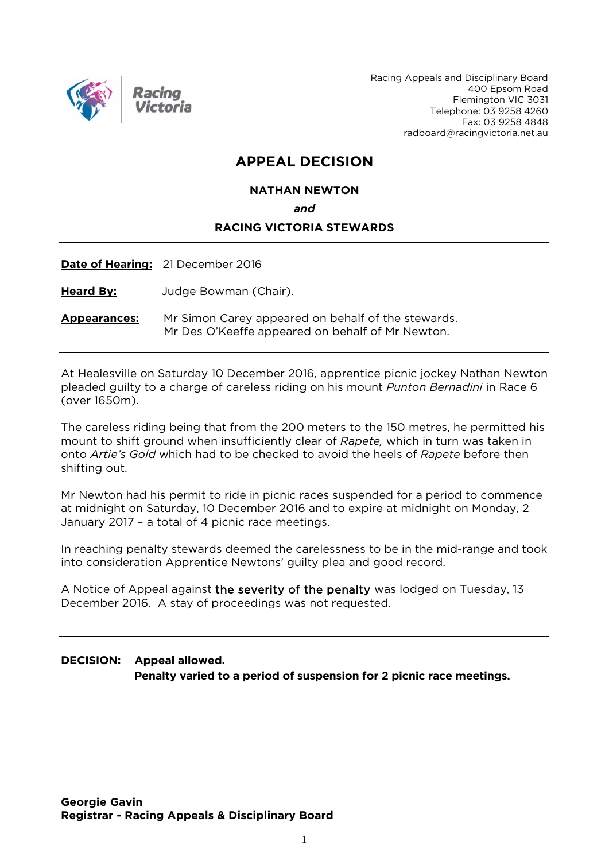

Racing Appeals and Disciplinary Board 400 Epsom Road Flemington VIC 3031 Telephone: 03 9258 4260 Fax: 03 9258 4848 radboard@racingvictoria.net.au

## **APPEAL DECISION**

#### **NATHAN NEWTON**

*and*

### **RACING VICTORIA STEWARDS**

**Date of Hearing:** 21 December 2016

**Heard By:** Judge Bowman (Chair).

**Appearances:** Mr Simon Carey appeared on behalf of the stewards. Mr Des O'Keeffe appeared on behalf of Mr Newton.

At Healesville on Saturday 10 December 2016, apprentice picnic jockey Nathan Newton pleaded guilty to a charge of careless riding on his mount *Punton Bernadini* in Race 6 (over 1650m).

The careless riding being that from the 200 meters to the 150 metres, he permitted his mount to shift ground when insufficiently clear of *Rapete,* which in turn was taken in onto *Artie's Gold* which had to be checked to avoid the heels of *Rapete* before then shifting out.

Mr Newton had his permit to ride in picnic races suspended for a period to commence at midnight on Saturday, 10 December 2016 and to expire at midnight on Monday, 2 January 2017 – a total of 4 picnic race meetings.

In reaching penalty stewards deemed the carelessness to be in the mid-range and took into consideration Apprentice Newtons' guilty plea and good record.

A Notice of Appeal against the severity of the penalty was lodged on Tuesday, 13 December 2016. A stay of proceedings was not requested.

**DECISION: Appeal allowed. Penalty varied to a period of suspension for 2 picnic race meetings.**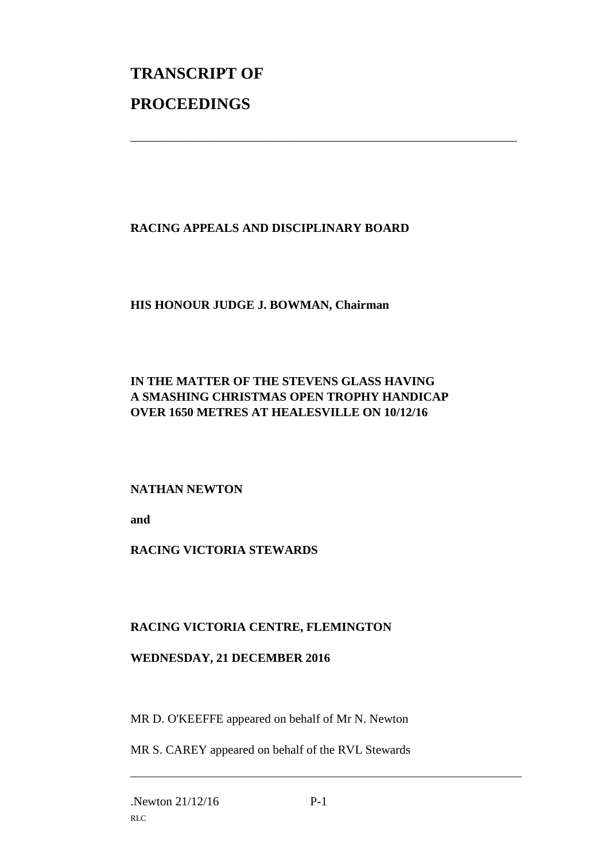# **TRANSCRIPT OF PROCEEDINGS**

## **RACING APPEALS AND DISCIPLINARY BOARD**

\_\_\_\_\_\_\_\_\_\_\_\_\_\_\_\_\_\_\_\_\_\_\_\_\_\_\_\_\_\_\_\_\_\_\_\_\_\_\_\_\_\_\_\_\_\_\_\_\_\_\_\_\_\_\_\_\_\_\_\_\_\_\_

## **HIS HONOUR JUDGE J. BOWMAN, Chairman**

## **IN THE MATTER OF THE STEVENS GLASS HAVING A SMASHING CHRISTMAS OPEN TROPHY HANDICAP OVER 1650 METRES AT HEALESVILLE ON 10/12/16**

## **NATHAN NEWTON**

**and** 

## **RACING VICTORIA STEWARDS**

## **RACING VICTORIA CENTRE, FLEMINGTON**

#### **WEDNESDAY, 21 DECEMBER 2016**

MR D. O'KEEFFE appeared on behalf of Mr N. Newton

MR S. CAREY appeared on behalf of the RVL Stewards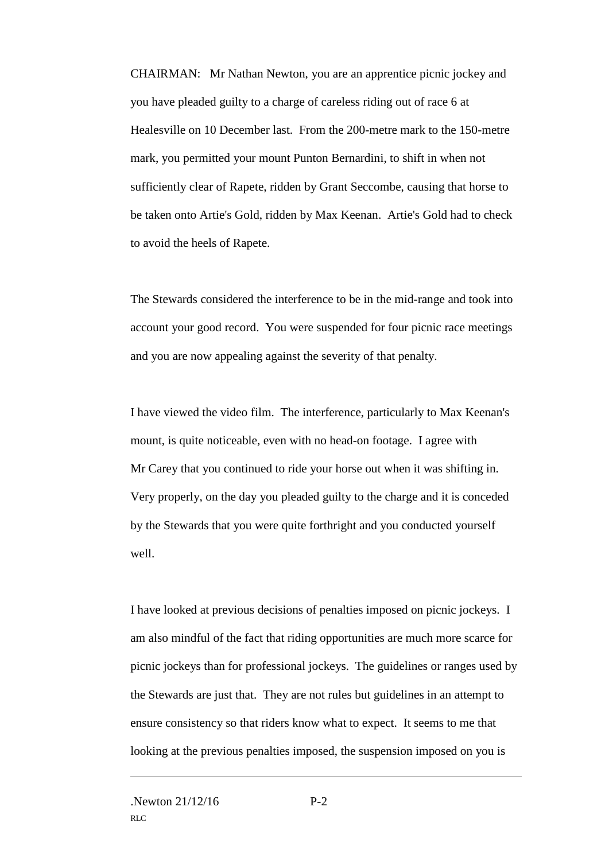CHAIRMAN: Mr Nathan Newton, you are an apprentice picnic jockey and you have pleaded guilty to a charge of careless riding out of race 6 at Healesville on 10 December last. From the 200-metre mark to the 150-metre mark, you permitted your mount Punton Bernardini, to shift in when not sufficiently clear of Rapete, ridden by Grant Seccombe, causing that horse to be taken onto Artie's Gold, ridden by Max Keenan. Artie's Gold had to check to avoid the heels of Rapete.

The Stewards considered the interference to be in the mid-range and took into account your good record. You were suspended for four picnic race meetings and you are now appealing against the severity of that penalty.

I have viewed the video film. The interference, particularly to Max Keenan's mount, is quite noticeable, even with no head-on footage. I agree with Mr Carey that you continued to ride your horse out when it was shifting in. Very properly, on the day you pleaded guilty to the charge and it is conceded by the Stewards that you were quite forthright and you conducted yourself well.

I have looked at previous decisions of penalties imposed on picnic jockeys. I am also mindful of the fact that riding opportunities are much more scarce for picnic jockeys than for professional jockeys. The guidelines or ranges used by the Stewards are just that. They are not rules but guidelines in an attempt to ensure consistency so that riders know what to expect. It seems to me that looking at the previous penalties imposed, the suspension imposed on you is